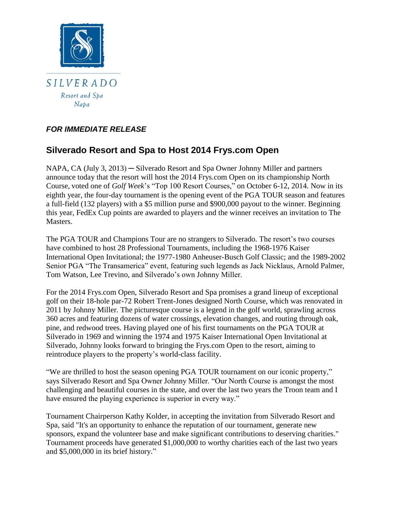

# *FOR IMMEDIATE RELEASE*

# **Silverado Resort and Spa to Host 2014 Frys.com Open**

NAPA, CA (July 3, 2013) ─ Silverado Resort and Spa Owner Johnny Miller and partners announce today that the resort will host the 2014 Frys.com Open on its championship North Course, voted one of *Golf Week*'s "Top 100 Resort Courses," on October 6-12, 2014. Now in its eighth year, the four-day tournament is the opening event of the PGA TOUR season and features a full-field (132 players) with a \$5 million purse and \$900,000 payout to the winner. Beginning this year, FedEx Cup points are awarded to players and the winner receives an invitation to The Masters.

The PGA TOUR and Champions Tour are no strangers to Silverado. The resort's two courses have combined to host 28 Professional Tournaments, including the 1968-1976 Kaiser International Open Invitational; the 1977-1980 Anheuser-Busch Golf Classic; and the 1989-2002 Senior PGA "The Transamerica" event, featuring such legends as Jack Nicklaus, Arnold Palmer, Tom Watson, Lee Trevino, and Silverado's own Johnny Miller.

For the 2014 Frys.com Open, Silverado Resort and Spa promises a grand lineup of exceptional golf on their 18-hole par-72 Robert Trent-Jones designed North Course, which was renovated in 2011 by Johnny Miller. The picturesque course is a legend in the golf world, sprawling across 360 acres and featuring dozens of water crossings, elevation changes, and routing through oak, pine, and redwood trees. Having played one of his first tournaments on the PGA TOUR at Silverado in 1969 and winning the 1974 and 1975 Kaiser International Open Invitational at Silverado, Johnny looks forward to bringing the Frys.com Open to the resort, aiming to reintroduce players to the property's world-class facility.

"We are thrilled to host the season opening PGA TOUR tournament on our iconic property," says Silverado Resort and Spa Owner Johnny Miller. "Our North Course is amongst the most challenging and beautiful courses in the state, and over the last two years the Troon team and I have ensured the playing experience is superior in every way."

Tournament Chairperson Kathy Kolder, in accepting the invitation from Silverado Resort and Spa, said "It's an opportunity to enhance the reputation of our tournament, generate new sponsors, expand the volunteer base and make significant contributions to deserving charities." Tournament proceeds have generated \$1,000,000 to worthy charities each of the last two years and \$5,000,000 in its brief history."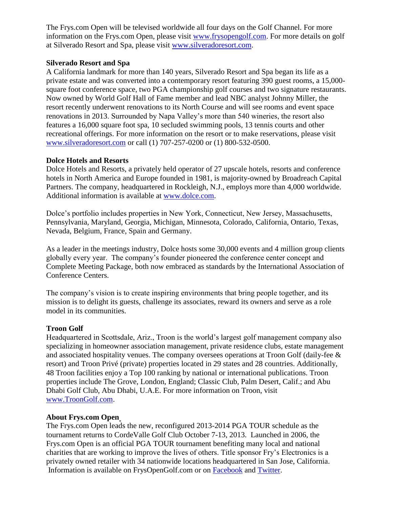The Frys.com Open will be televised worldwide all four days on the Golf Channel. For more information on the Frys.com Open, please visit [www.frysopengolf.com.](http://www.frysopengolf.com/) For more details on golf at Silverado Resort and Spa, please visit [www.silveradoresort.com.](http://www.silveradoresort.com/)

#### **Silverado Resort and Spa**

A California landmark for more than 140 years, Silverado Resort and Spa began its life as a private estate and was converted into a contemporary resort featuring 390 guest rooms, a 15,000 square foot conference space, two PGA championship golf courses and two signature restaurants. Now owned by World Golf Hall of Fame member and lead NBC analyst Johnny Miller, the resort recently underwent renovations to its North Course and will see rooms and event space renovations in 2013. Surrounded by Napa Valley's more than 540 wineries, the resort also features a 16,000 square foot spa, 10 secluded swimming pools, 13 tennis courts and other recreational offerings. For more information on the resort or to make reservations, please visit [www.silveradoresort.com](http://www.silveradoresort.com/) or call (1) 707-257-0200 or (1) 800-532-0500.

#### **Dolce Hotels and Resorts**

Dolce Hotels and Resorts, a privately held operator of 27 upscale hotels, resorts and conference hotels in North America and Europe founded in 1981, is majority-owned by Broadreach Capital Partners. The company, headquartered in Rockleigh, N.J., employs more than 4,000 worldwide. Additional information is available at [www.dolce.com.](http://www.dolce.com/)

Dolce's portfolio includes properties in New York, Connecticut, New Jersey, Massachusetts, Pennsylvania, Maryland, Georgia, Michigan, Minnesota, Colorado, California, Ontario, Texas, Nevada, Belgium, France, Spain and Germany.

As a leader in the meetings industry, Dolce hosts some 30,000 events and 4 million group clients globally every year. The company's founder pioneered the conference center concept and Complete Meeting Package, both now embraced as standards by the International Association of Conference Centers.

The company's vision is to create inspiring environments that bring people together, and its mission is to delight its guests, challenge its associates, reward its owners and serve as a role model in its communities.

## **Troon Golf**

Headquartered in Scottsdale, Ariz., Troon is the world's largest golf management company also specializing in homeowner association management, private residence clubs, estate management and associated hospitality venues. The company oversees operations at Troon Golf (daily-fee  $\&$ resort) and Troon Privé (private) properties located in 29 states and 28 countries. Additionally, 48 Troon facilities enjoy a Top 100 ranking by national or international publications. Troon properties include The Grove, London, England; Classic Club, Palm Desert, Calif.; and Abu Dhabi Golf Club, Abu Dhabi, U.A.E. For more information on Troon, visit [www.TroonGolf.com.](http://www.troongolf.com/)

## **About Frys.com Open**

The Frys.com Open leads the new, reconfigured 2013-2014 PGA TOUR schedule as the tournament returns to CordeValle Golf Club October 7-13, 2013. Launched in 2006, the Frys.com Open is an official PGA TOUR tournament benefiting many local and national charities that are working to improve the lives of others. Title sponsor Fry's Electronics is a privately owned retailer with 34 nationwide locations headquartered in San Jose, California. Information is available on FrysOpenGolf.com or on [Facebook](https://www.facebook.com/frysopengolf) and [Twitter.](https://twitter.com/frysopengolf)